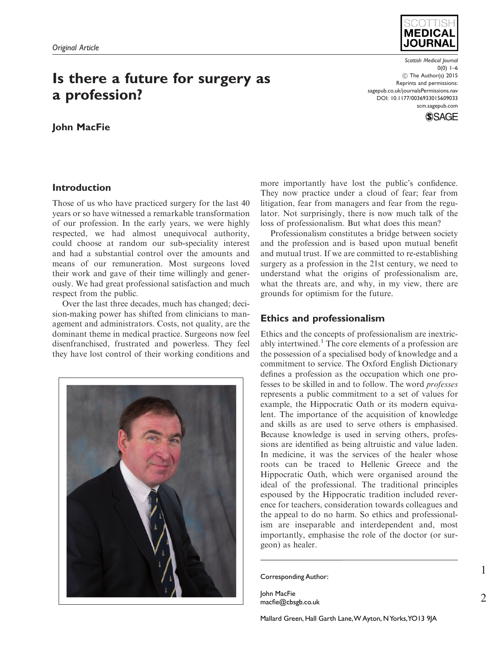# Is there a future for surgery as a profession?

# John MacFie



Scottish Medical Journal  $0(0)$  1–6 C The Author(s) 2015 Reprints and permissions: sagepub.co.uk/journalsPermissions.nav DOI: 10.1177/0036933015609033 scm.sagepub.com



# Introduction

Those of us who have practiced surgery for the last 40 years or so have witnessed a remarkable transformation of our profession. In the early years, we were highly respected, we had almost unequivocal authority, could choose at random our sub-speciality interest and had a substantial control over the amounts and means of our remuneration. Most surgeons loved their work and gave of their time willingly and generously. We had great professional satisfaction and much respect from the public.

Over the last three decades, much has changed; decision-making power has shifted from clinicians to management and administrators. Costs, not quality, are the dominant theme in medical practice. Surgeons now feel disenfranchised, frustrated and powerless. They feel they have lost control of their working conditions and



more importantly have lost the public's confidence. They now practice under a cloud of fear; fear from litigation, fear from managers and fear from the regulator. Not surprisingly, there is now much talk of the loss of professionalism. But what does this mean?

Professionalism constitutes a bridge between society and the profession and is based upon mutual benefit and mutual trust. If we are committed to re-establishing surgery as a profession in the 21st century, we need to understand what the origins of professionalism are, what the threats are, and why, in my view, there are grounds for optimism for the future.

## Ethics and professionalism

Ethics and the concepts of professionalism are inextricably intertwined.<sup>1</sup> The core elements of a profession are the possession of a specialised body of knowledge and a commitment to service. The Oxford English Dictionary defines a profession as the occupation which one professes to be skilled in and to follow. The word professes represents a public commitment to a set of values for example, the Hippocratic Oath or its modern equivalent. The importance of the acquisition of knowledge and skills as are used to serve others is emphasised. Because knowledge is used in serving others, professions are identified as being altruistic and value laden. In medicine, it was the services of the healer whose roots can be traced to Hellenic Greece and the Hippocratic Oath, which were organised around the ideal of the professional. The traditional principles espoused by the Hippocratic tradition included reverence for teachers, consideration towards colleagues and the appeal to do no harm. So ethics and professionalism are inseparable and interdependent and, most importantly, emphasise the role of the doctor (or surgeon) as healer.

 $\Gamma$  Corresponding Authorough Hospital, UK [1](#page--1-0) Corresponding Author:

 $J_{\text{obs}}$  MacFie, University of Hull/York Neutron  $H_{\text{obs}}$ UK. [2](#page--1-0) Email: johnmacfie@aol.com macfie@cbsgb.co.uk John MacFie

Mallard Green, Hall Garth Lane, W Ayton, N Yorks, YO13 9JA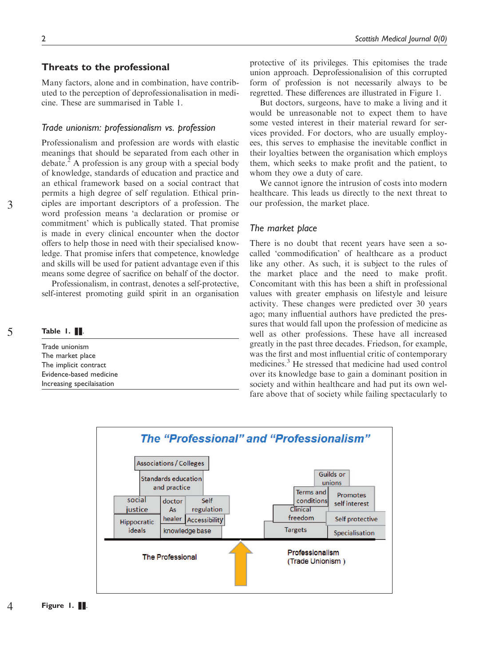## Threats to the professional

Many factors, alone and in combination, have contributed to the perception of deprofessionalisation in medicine. These are summarised in Table 1.

## Trade unionism: professionalism vs. profession

Professionalism and profession are words with elastic meanings that should be separated from each other in debate.<sup>2</sup> A profession is any group with a special body of knowledge, standards of education and practice and an ethical framework based on a social contract that permits a high degree of self regulation. Ethical prin-[3](#page--1-0) ciples are important descriptors of a profession. The word profession means 'a declaration or promise or commitment' which is publically stated. That promise is made in every clinical encounter when the doctor offers to help those in need with their specialised knowledge. That promise infers that competence, knowledge and skills will be used for patient advantage even if this means some degree of sacrifice on behalf of the doctor.

> Professionalism, in contrast, denotes a self-protective, self-interest promoting guild spirit in an organisation

#### $5$  Table 1.

Trade unionism The market place The implicit contract Evidence-based medicine Increasing specilaisation

protective of its privileges. This epitomises the trade union approach. Deprofessionalision of this corrupted form of profession is not necessarily always to be regretted. These differences are illustrated in Figure 1.

But doctors, surgeons, have to make a living and it would be unreasonable not to expect them to have some vested interest in their material reward for services provided. For doctors, who are usually employees, this serves to emphasise the inevitable conflict in their loyalties between the organisation which employs them, which seeks to make profit and the patient, to whom they owe a duty of care.

We cannot ignore the intrusion of costs into modern healthcare. This leads us directly to the next threat to our profession, the market place.

## The market place

There is no doubt that recent years have seen a socalled 'commodification' of healthcare as a product like any other. As such, it is subject to the rules of the market place and the need to make profit. Concomitant with this has been a shift in professional values with greater emphasis on lifestyle and leisure activity. These changes were predicted over 30 years ago; many influential authors have predicted the pressures that would fall upon the profession of medicine as well as other professions. These have all increased greatly in the past three decades. Friedson, for example, was the first and most influential critic of contemporary medicines.<sup>3</sup> He stressed that medicine had used control over its knowledge base to gain a dominant position in society and within healthcare and had put its own welfare above that of society while failing spectacularly to

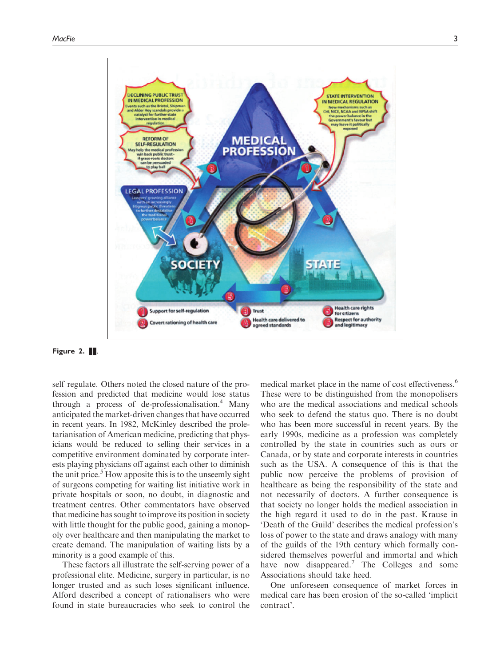

## Figure 2.  $\blacksquare$ .

self regulate. Others noted the closed nature of the profession and predicted that medicine would lose status through a process of de-professionalisation. $4$  Many anticipated the market-driven changes that have occurred in recent years. In 1982, McKinley described the proletarianisation of American medicine, predicting that physicians would be reduced to selling their services in a competitive environment dominated by corporate interests playing physicians off against each other to diminish the unit price.<sup>5</sup> How apposite this is to the unseemly sight of surgeons competing for waiting list initiative work in private hospitals or soon, no doubt, in diagnostic and treatment centres. Other commentators have observed that medicine has sought to improve its position in society with little thought for the public good, gaining a monopoly over healthcare and then manipulating the market to create demand. The manipulation of waiting lists by a minority is a good example of this.

These factors all illustrate the self-serving power of a professional elite. Medicine, surgery in particular, is no longer trusted and as such loses significant influence. Alford described a concept of rationalisers who were found in state bureaucracies who seek to control the medical market place in the name of cost effectiveness.<sup>6</sup> These were to be distinguished from the monopolisers who are the medical associations and medical schools who seek to defend the status quo. There is no doubt who has been more successful in recent years. By the early 1990s, medicine as a profession was completely controlled by the state in countries such as ours or Canada, or by state and corporate interests in countries such as the USA. A consequence of this is that the public now perceive the problems of provision of healthcare as being the responsibility of the state and not necessarily of doctors. A further consequence is that society no longer holds the medical association in the high regard it used to do in the past. Krause in 'Death of the Guild' describes the medical profession's loss of power to the state and draws analogy with many of the guilds of the 19th century which formally considered themselves powerful and immortal and which have now disappeared.<sup>7</sup> The Colleges and some Associations should take heed.

One unforeseen consequence of market forces in medical care has been erosion of the so-called 'implicit contract'.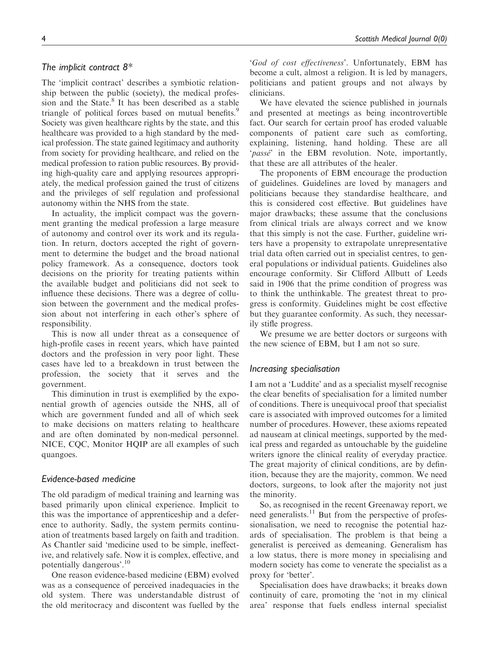## The implicit contract 8\*

The 'implicit contract' describes a symbiotic relationship between the public (society), the medical profession and the State.<sup>8</sup> It has been described as a stable triangle of political forces based on mutual benefits.<sup>9</sup> Society was given healthcare rights by the state, and this healthcare was provided to a high standard by the medical profession. The state gained legitimacy and authority from society for providing healthcare, and relied on the medical profession to ration public resources. By providing high-quality care and applying resources appropriately, the medical profession gained the trust of citizens and the privileges of self regulation and professional autonomy within the NHS from the state.

In actuality, the implicit compact was the government granting the medical profession a large measure of autonomy and control over its work and its regulation. In return, doctors accepted the right of government to determine the budget and the broad national policy framework. As a consequence, doctors took decisions on the priority for treating patients within the available budget and politicians did not seek to influence these decisions. There was a degree of collusion between the government and the medical profession about not interfering in each other's sphere of responsibility.

This is now all under threat as a consequence of high-profile cases in recent years, which have painted doctors and the profession in very poor light. These cases have led to a breakdown in trust between the profession, the society that it serves and the government.

This diminution in trust is exemplified by the exponential growth of agencies outside the NHS, all of which are government funded and all of which seek to make decisions on matters relating to healthcare and are often dominated by non-medical personnel. NICE, CQC, Monitor HQIP are all examples of such quangoes.

#### Evidence-based medicine

The old paradigm of medical training and learning was based primarily upon clinical experience. Implicit to this was the importance of apprenticeship and a deference to authority. Sadly, the system permits continuation of treatments based largely on faith and tradition. As Chantler said 'medicine used to be simple, ineffective, and relatively safe. Now it is complex, effective, and potentially dangerous'.<sup>10</sup>

One reason evidence-based medicine (EBM) evolved was as a consequence of perceived inadequacies in the old system. There was understandable distrust of the old meritocracy and discontent was fuelled by the

'God of cost effectiveness'. Unfortunately, EBM has become a cult, almost a religion. It is led by managers, politicians and patient groups and not always by clinicians.

We have elevated the science published in journals and presented at meetings as being incontrovertible fact. Our search for certain proof has eroded valuable components of patient care such as comforting, explaining, listening, hand holding. These are all 'passe' in the EBM revolution. Note, importantly, that these are all attributes of the healer.

The proponents of EBM encourage the production of guidelines. Guidelines are loved by managers and politicians because they standardise healthcare, and this is considered cost effective. But guidelines have major drawbacks; these assume that the conclusions from clinical trials are always correct and we know that this simply is not the case. Further, guideline writers have a propensity to extrapolate unrepresentative trial data often carried out in specialist centres, to general populations or individual patients. Guidelines also encourage conformity. Sir Clifford Allbutt of Leeds said in 1906 that the prime condition of progress was to think the unthinkable. The greatest threat to progress is conformity. Guidelines might be cost effective but they guarantee conformity. As such, they necessarily stifle progress.

We presume we are better doctors or surgeons with the new science of EBM, but I am not so sure.

#### Increasing specialisation

I am not a 'Luddite' and as a specialist myself recognise the clear benefits of specialisation for a limited number of conditions. There is unequivocal proof that specialist care is associated with improved outcomes for a limited number of procedures. However, these axioms repeated ad nauseam at clinical meetings, supported by the medical press and regarded as untouchable by the guideline writers ignore the clinical reality of everyday practice. The great majority of clinical conditions, are by definition, because they are the majority, common. We need doctors, surgeons, to look after the majority not just the minority.

So, as recognised in the recent Greenaway report, we need generalists.<sup>11</sup> But from the perspective of professionalisation, we need to recognise the potential hazards of specialisation. The problem is that being a generalist is perceived as demeaning. Generalism has a low status, there is more money in specialising and modern society has come to venerate the specialist as a proxy for 'better'.

Specialisation does have drawbacks; it breaks down continuity of care, promoting the 'not in my clinical area' response that fuels endless internal specialist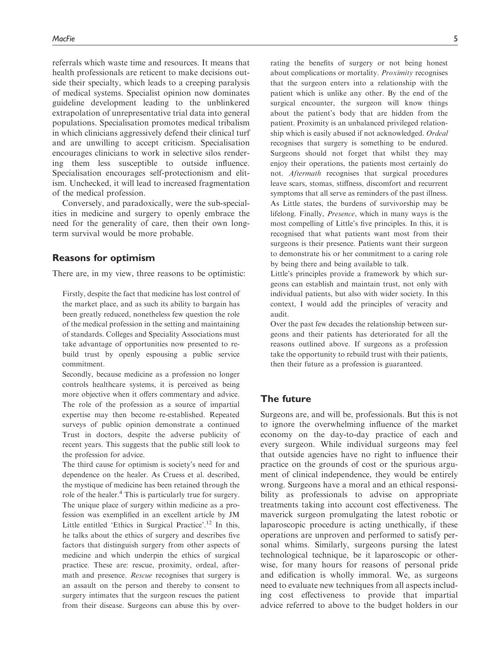referrals which waste time and resources. It means that health professionals are reticent to make decisions outside their specialty, which leads to a creeping paralysis of medical systems. Specialist opinion now dominates guideline development leading to the unblinkered extrapolation of unrepresentative trial data into general populations. Specialisation promotes medical tribalism in which clinicians aggressively defend their clinical turf and are unwilling to accept criticism. Specialisation encourages clinicians to work in selective silos rendering them less susceptible to outside influence. Specialisation encourages self-protectionism and elitism. Unchecked, it will lead to increased fragmentation of the medical profession.

Conversely, and paradoxically, were the sub-specialities in medicine and surgery to openly embrace the need for the generality of care, then their own longterm survival would be more probable.

#### Reasons for optimism

There are, in my view, three reasons to be optimistic:

Firstly, despite the fact that medicine has lost control of the market place, and as such its ability to bargain has been greatly reduced, nonetheless few question the role of the medical profession in the setting and maintaining of standards. Colleges and Speciality Associations must take advantage of opportunities now presented to rebuild trust by openly espousing a public service commitment.

Secondly, because medicine as a profession no longer controls healthcare systems, it is perceived as being more objective when it offers commentary and advice. The role of the profession as a source of impartial expertise may then become re-established. Repeated surveys of public opinion demonstrate a continued Trust in doctors, despite the adverse publicity of recent years. This suggests that the public still look to the profession for advice.

The third cause for optimism is society's need for and dependence on the healer. As Cruess et al. described, the mystique of medicine has been retained through the role of the healer.<sup>4</sup> This is particularly true for surgery. The unique place of surgery within medicine as a profession was exemplified in an excellent article by JM Little entitled 'Ethics in Surgical Practice'.<sup>12</sup> In this, he talks about the ethics of surgery and describes five factors that distinguish surgery from other aspects of medicine and which underpin the ethics of surgical practice. These are: rescue, proximity, ordeal, aftermath and presence. Rescue recognises that surgery is an assault on the person and thereby to consent to surgery intimates that the surgeon rescues the patient from their disease. Surgeons can abuse this by overrating the benefits of surgery or not being honest about complications or mortality. Proximity recognises that the surgeon enters into a relationship with the patient which is unlike any other. By the end of the surgical encounter, the surgeon will know things about the patient's body that are hidden from the patient. Proximity is an unbalanced privileged relationship which is easily abused if not acknowledged. Ordeal recognises that surgery is something to be endured. Surgeons should not forget that whilst they may enjoy their operations, the patients most certainly do not. Aftermath recognises that surgical procedures leave scars, stomas, stiffness, discomfort and recurrent symptoms that all serve as reminders of the past illness. As Little states, the burdens of survivorship may be lifelong. Finally, Presence, which in many ways is the most compelling of Little's five principles. In this, it is recognised that what patients want most from their surgeons is their presence. Patients want their surgeon to demonstrate his or her commitment to a caring role by being there and being available to talk.

Little's principles provide a framework by which surgeons can establish and maintain trust, not only with individual patients, but also with wider society. In this context, I would add the principles of veracity and audit.

Over the past few decades the relationship between surgeons and their patients has deteriorated for all the reasons outlined above. If surgeons as a profession take the opportunity to rebuild trust with their patients, then their future as a profession is guaranteed.

# The future

Surgeons are, and will be, professionals. But this is not to ignore the overwhelming influence of the market economy on the day-to-day practice of each and every surgeon. While individual surgeons may feel that outside agencies have no right to influence their practice on the grounds of cost or the spurious argument of clinical independence, they would be entirely wrong. Surgeons have a moral and an ethical responsibility as professionals to advise on appropriate treatments taking into account cost effectiveness. The maverick surgeon promulgating the latest robotic or laparoscopic procedure is acting unethically, if these operations are unproven and performed to satisfy personal whims. Similarly, surgeons pursing the latest technological technique, be it laparoscopic or otherwise, for many hours for reasons of personal pride and edification is wholly immoral. We, as surgeons need to evaluate new techniques from all aspects including cost effectiveness to provide that impartial advice referred to above to the budget holders in our